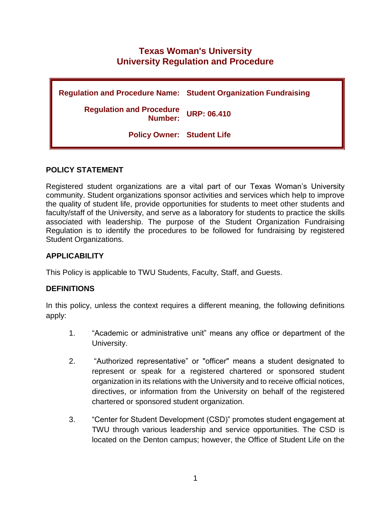# **Texas Woman's University University Regulation and Procedure**

**Regulation and Procedure Name: Student Organization Fundraising Regulation and Procedure Number: URP: 06.410 Policy Owner: Student Life**

## **POLICY STATEMENT**

Registered student organizations are a vital part of our Texas Woman's University community. Student organizations sponsor activities and services which help to improve the quality of student life, provide opportunities for students to meet other students and faculty/staff of the University, and serve as a laboratory for students to practice the skills associated with leadership. The purpose of the Student Organization Fundraising Regulation is to identify the procedures to be followed for fundraising by registered Student Organizations.

### **APPLICABILITY**

This Policy is applicable to TWU Students, Faculty, Staff, and Guests.

### **DEFINITIONS**

In this policy, unless the context requires a different meaning, the following definitions apply:

- 1. "Academic or administrative unit" means any office or department of the University.
- 2. "Authorized representative" or "officer" means a student designated to represent or speak for a registered chartered or sponsored student organization in its relations with the University and to receive official notices, directives, or information from the University on behalf of the registered chartered or sponsored student organization.
- 3. "Center for Student Development (CSD)" promotes student engagement at TWU through various leadership and service opportunities. The CSD is located on the Denton campus; however, the Office of Student Life on the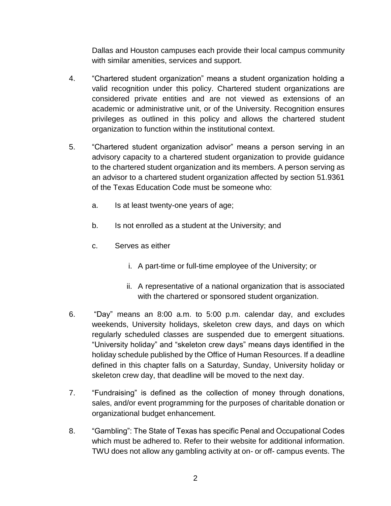Dallas and Houston campuses each provide their local campus community with similar amenities, services and support.

- 4. "Chartered student organization" means a student organization holding a valid recognition under this policy. Chartered student organizations are considered private entities and are not viewed as extensions of an academic or administrative unit, or of the University. Recognition ensures privileges as outlined in this policy and allows the chartered student organization to function within the institutional context.
- 5. "Chartered student organization advisor" means a person serving in an advisory capacity to a chartered student organization to provide guidance to the chartered student organization and its members. A person serving as an advisor to a chartered student organization affected by section 51.9361 of the Texas Education Code must be someone who:
	- a. Is at least twenty-one years of age;
	- b. Is not enrolled as a student at the University; and
	- c. Serves as either
		- i. A part-time or full-time employee of the University; or
		- ii. A representative of a national organization that is associated with the chartered or sponsored student organization.
- 6. "Day" means an 8:00 a.m. to 5:00 p.m. calendar day, and excludes weekends, University holidays, skeleton crew days, and days on which regularly scheduled classes are suspended due to emergent situations. "University holiday" and "skeleton crew days" means days identified in the holiday schedule published by the Office of Human Resources. If a deadline defined in this chapter falls on a Saturday, Sunday, University holiday or skeleton crew day, that deadline will be moved to the next day.
- 7. "Fundraising" is defined as the collection of money through donations, sales, and/or event programming for the purposes of charitable donation or organizational budget enhancement.
- 8. "Gambling": The State of Texas has specific Penal and Occupational Codes which must be adhered to. Refer to their website for additional information. TWU does not allow any gambling activity at on- or off- campus events. The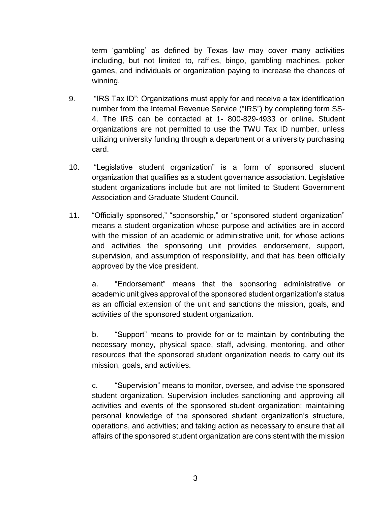term 'gambling' as defined by Texas law may cover many activities including, but not limited to, raffles, bingo, gambling machines, poker games, and individuals or organization paying to increase the chances of winning.

- 9. "IRS Tax ID": Organizations must apply for and receive a tax identification number from the Internal Revenue Service ("IRS") by completing form SS-4. The IRS can be contacted at 1- 800-829-4933 or online**.** Student organizations are not permitted to use the TWU Tax ID number, unless utilizing university funding through a department or a university purchasing card.
- 10. "Legislative student organization" is a form of sponsored student organization that qualifies as a student governance association. Legislative student organizations include but are not limited to Student Government Association and Graduate Student Council.
- 11. "Officially sponsored," "sponsorship," or "sponsored student organization" means a student organization whose purpose and activities are in accord with the mission of an academic or administrative unit, for whose actions and activities the sponsoring unit provides endorsement, support, supervision, and assumption of responsibility, and that has been officially approved by the vice president.

a. "Endorsement" means that the sponsoring administrative or academic unit gives approval of the sponsored student organization's status as an official extension of the unit and sanctions the mission, goals, and activities of the sponsored student organization.

b. "Support" means to provide for or to maintain by contributing the necessary money, physical space, staff, advising, mentoring, and other resources that the sponsored student organization needs to carry out its mission, goals, and activities.

c. "Supervision" means to monitor, oversee, and advise the sponsored student organization. Supervision includes sanctioning and approving all activities and events of the sponsored student organization; maintaining personal knowledge of the sponsored student organization's structure, operations, and activities; and taking action as necessary to ensure that all affairs of the sponsored student organization are consistent with the mission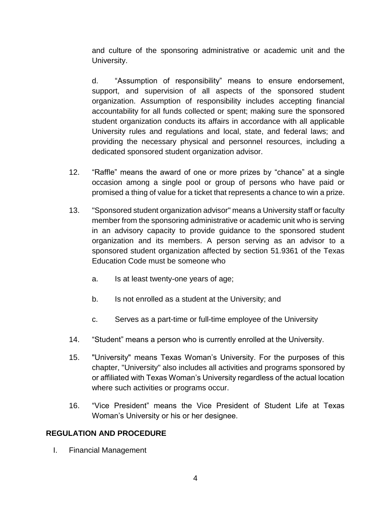and culture of the sponsoring administrative or academic unit and the University.

d. "Assumption of responsibility" means to ensure endorsement, support, and supervision of all aspects of the sponsored student organization. Assumption of responsibility includes accepting financial accountability for all funds collected or spent; making sure the sponsored student organization conducts its affairs in accordance with all applicable University rules and regulations and local, state, and federal laws; and providing the necessary physical and personnel resources, including a dedicated sponsored student organization advisor.

- 12. "Raffle" means the award of one or more prizes by "chance" at a single occasion among a single pool or group of persons who have paid or promised a thing of value for a ticket that represents a chance to win a prize.
- 13. "Sponsored student organization advisor" means a University staff or faculty member from the sponsoring administrative or academic unit who is serving in an advisory capacity to provide guidance to the sponsored student organization and its members. A person serving as an advisor to a sponsored student organization affected by section 51.9361 of the Texas Education Code must be someone who
	- a. Is at least twenty-one years of age;
	- b. Is not enrolled as a student at the University; and
	- c. Serves as a part-time or full-time employee of the University
- 14. "Student" means a person who is currently enrolled at the University.
- 15. "University" means Texas Woman's University. For the purposes of this chapter, "University" also includes all activities and programs sponsored by or affiliated with Texas Woman's University regardless of the actual location where such activities or programs occur.
- 16. "Vice President" means the Vice President of Student Life at Texas Woman's University or his or her designee.

## **REGULATION AND PROCEDURE**

I. Financial Management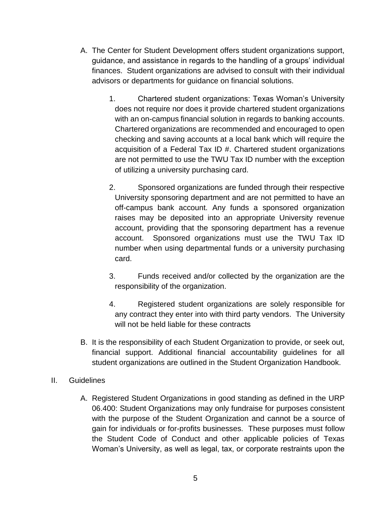- A. The Center for Student Development offers student organizations support, guidance, and assistance in regards to the handling of a groups' individual finances. Student organizations are advised to consult with their individual advisors or departments for guidance on financial solutions.
	- 1. Chartered student organizations: Texas Woman's University does not require nor does it provide chartered student organizations with an on-campus financial solution in regards to banking accounts. Chartered organizations are recommended and encouraged to open checking and saving accounts at a local bank which will require the acquisition of a Federal Tax ID #. Chartered student organizations are not permitted to use the TWU Tax ID number with the exception of utilizing a university purchasing card.
	- 2. Sponsored organizations are funded through their respective University sponsoring department and are not permitted to have an off-campus bank account. Any funds a sponsored organization raises may be deposited into an appropriate University revenue account, providing that the sponsoring department has a revenue account. Sponsored organizations must use the TWU Tax ID number when using departmental funds or a university purchasing card.
	- 3. Funds received and/or collected by the organization are the responsibility of the organization.
	- 4. Registered student organizations are solely responsible for any contract they enter into with third party vendors. The University will not be held liable for these contracts
- B. It is the responsibility of each Student Organization to provide, or seek out, financial support. Additional financial accountability guidelines for all student organizations are outlined in the Student Organization Handbook.

## II. Guidelines

A. Registered Student Organizations in good standing as defined in the URP 06.400: Student Organizations may only fundraise for purposes consistent with the purpose of the Student Organization and cannot be a source of gain for individuals or for-profits businesses. These purposes must follow the Student Code of Conduct and other applicable policies of Texas Woman's University, as well as legal, tax, or corporate restraints upon the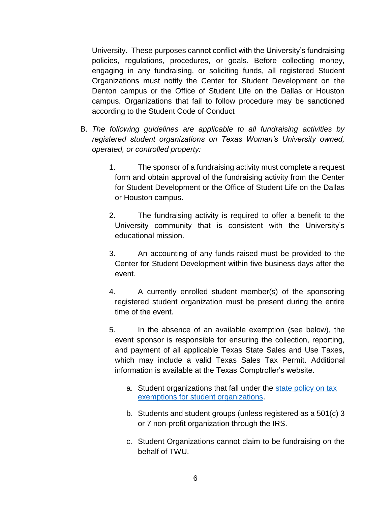University. These purposes cannot conflict with the University's fundraising policies, regulations, procedures, or goals. Before collecting money, engaging in any fundraising, or soliciting funds, all registered Student Organizations must notify the Center for Student Development on the Denton campus or the Office of Student Life on the Dallas or Houston campus. Organizations that fail to follow procedure may be sanctioned according to the Student Code of Conduct

- B. *The following guidelines are applicable to all fundraising activities by registered student organizations on Texas Woman's University owned, operated, or controlled property:*
	- 1. The sponsor of a fundraising activity must complete a request form and obtain approval of the fundraising activity from the Center for Student Development or the Office of Student Life on the Dallas or Houston campus.
	- 2. The fundraising activity is required to offer a benefit to the University community that is consistent with the University's educational mission.
	- 3. An accounting of any funds raised must be provided to the Center for Student Development within five business days after the event.
	- 4. A currently enrolled student member(s) of the sponsoring registered student organization must be present during the entire time of the event.
	- 5. In the absence of an available exemption (see below), the event sponsor is responsible for ensuring the collection, reporting, and payment of all applicable Texas State Sales and Use Taxes, which may include a valid Texas Sales Tax Permit. Additional information is available at the Texas Comptroller's website.
		- a. Student organizations that fall under the [state policy on tax](https://texreg.sos.state.tx.us/public/readtac$ext.TacPage?sl=R&app=9&p_dir=&p_rloc=&p_tloc=&p_ploc=&pg=1&p_tac=&ti=34&pt=1&ch=3&rl=316)  [exemptions for student organizations.](https://texreg.sos.state.tx.us/public/readtac$ext.TacPage?sl=R&app=9&p_dir=&p_rloc=&p_tloc=&p_ploc=&pg=1&p_tac=&ti=34&pt=1&ch=3&rl=316)
		- b. Students and student groups (unless registered as a 501(c) 3 or 7 non-profit organization through the IRS.
		- c. Student Organizations cannot claim to be fundraising on the behalf of TWU.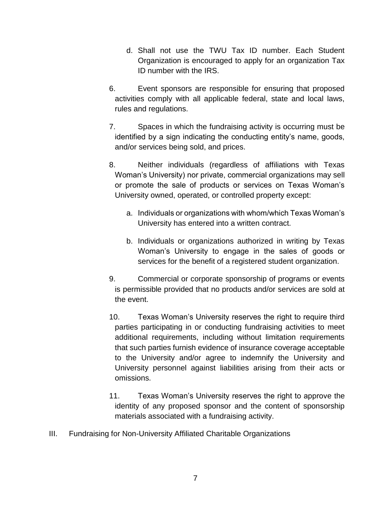- d. Shall not use the TWU Tax ID number. Each Student Organization is encouraged to apply for an organization Tax ID number with the IRS.
- 6. Event sponsors are responsible for ensuring that proposed activities comply with all applicable federal, state and local laws, rules and regulations.
- 7. Spaces in which the fundraising activity is occurring must be identified by a sign indicating the conducting entity's name, goods, and/or services being sold, and prices.
- 8. Neither individuals (regardless of affiliations with Texas Woman's University) nor private, commercial organizations may sell or promote the sale of products or services on Texas Woman's University owned, operated, or controlled property except:
	- a. Individuals or organizations with whom/which Texas Woman's University has entered into a written contract.
	- b. Individuals or organizations authorized in writing by Texas Woman's University to engage in the sales of goods or services for the benefit of a registered student organization.
- 9. Commercial or corporate sponsorship of programs or events is permissible provided that no products and/or services are sold at the event.
- 10. Texas Woman's University reserves the right to require third parties participating in or conducting fundraising activities to meet additional requirements, including without limitation requirements that such parties furnish evidence of insurance coverage acceptable to the University and/or agree to indemnify the University and University personnel against liabilities arising from their acts or omissions.
- 11. Texas Woman's University reserves the right to approve the identity of any proposed sponsor and the content of sponsorship materials associated with a fundraising activity.
- III. Fundraising for Non-University Affiliated Charitable Organizations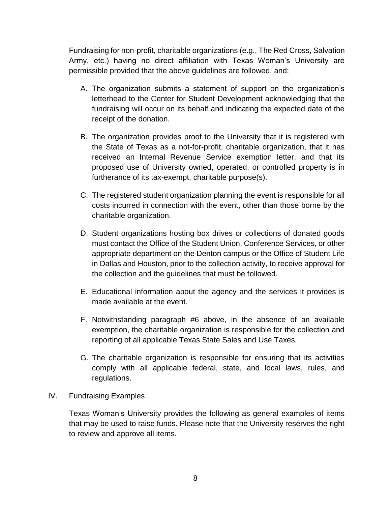Fundraising for non-profit, charitable organizations (e.g., The Red Cross, Salvation Army, etc.) having no direct affiliation with Texas Woman's University are permissible provided that the above guidelines are followed, and:

- A. The organization submits a statement of support on the organization's letterhead to the Center for Student Development acknowledging that the fundraising will occur on its behalf and indicating the expected date of the receipt of the donation.
- B. The organization provides proof to the University that it is registered with the State of Texas as a not-for-profit, charitable organization, that it has received an Internal Revenue Service exemption letter, and that its proposed use of University owned, operated, or controlled property is in furtherance of its tax-exempt, charitable purpose(s).
- C. The registered student organization planning the event is responsible for all costs incurred in connection with the event, other than those borne by the charitable organization.
- D. Student organizations hosting box drives or collections of donated goods must contact the Office of the Student Union, Conference Services, or other appropriate department on the Denton campus or the Office of Student Life in Dallas and Houston, prior to the collection activity, to receive approval for the collection and the guidelines that must be followed.
- E. Educational information about the agency and the services it provides is made available at the event.
- F. Notwithstanding paragraph #6 above, in the absence of an available exemption, the charitable organization is responsible for the collection and reporting of all applicable Texas State Sales and Use Taxes.
- G. The charitable organization is responsible for ensuring that its activities comply with all applicable federal, state, and local laws, rules, and regulations.
- IV. Fundraising Examples

Texas Woman's University provides the following as general examples of items that may be used to raise funds. Please note that the University reserves the right to review and approve all items.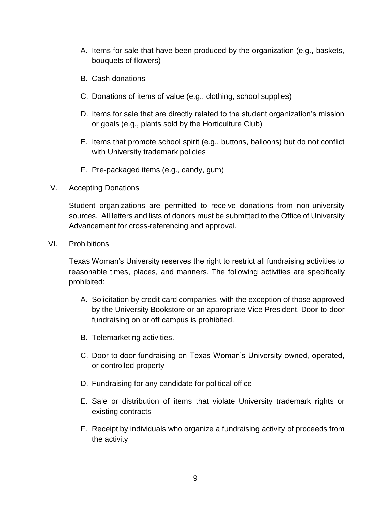- A. Items for sale that have been produced by the organization (e.g., baskets, bouquets of flowers)
- B. Cash donations
- C. Donations of items of value (e.g., clothing, school supplies)
- D. Items for sale that are directly related to the student organization's mission or goals (e.g., plants sold by the Horticulture Club)
- E. Items that promote school spirit (e.g., buttons, balloons) but do not conflict with University trademark policies
- F. Pre-packaged items (e.g., candy, gum)
- V. Accepting Donations

Student organizations are permitted to receive donations from non-university sources. All letters and lists of donors must be submitted to the Office of University Advancement for cross-referencing and approval.

VI. Prohibitions

Texas Woman's University reserves the right to restrict all fundraising activities to reasonable times, places, and manners. The following activities are specifically prohibited:

- A. Solicitation by credit card companies, with the exception of those approved by the University Bookstore or an appropriate Vice President. Door-to-door fundraising on or off campus is prohibited.
- B. Telemarketing activities.
- C. Door-to-door fundraising on Texas Woman's University owned, operated, or controlled property
- D. Fundraising for any candidate for political office
- E. Sale or distribution of items that violate University trademark rights or existing contracts
- F. Receipt by individuals who organize a fundraising activity of proceeds from the activity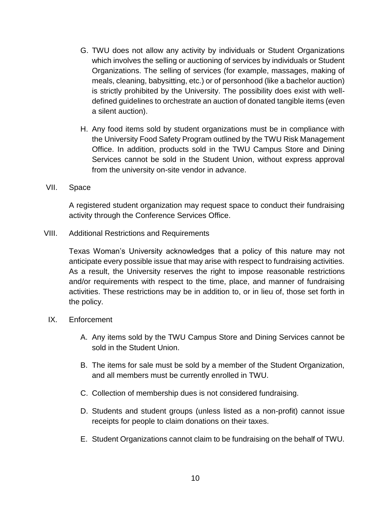- G. TWU does not allow any activity by individuals or Student Organizations which involves the selling or auctioning of services by individuals or Student Organizations. The selling of services (for example, massages, making of meals, cleaning, babysitting, etc.) or of personhood (like a bachelor auction) is strictly prohibited by the University. The possibility does exist with welldefined guidelines to orchestrate an auction of donated tangible items (even a silent auction).
- H. Any food items sold by student organizations must be in compliance with the University Food Safety Program outlined by the TWU Risk Management Office. In addition, products sold in the TWU Campus Store and Dining Services cannot be sold in the Student Union, without express approval from the university on-site vendor in advance.
- VII. Space

A registered student organization may request space to conduct their fundraising activity through the Conference Services Office.

VIII. Additional Restrictions and Requirements

Texas Woman's University acknowledges that a policy of this nature may not anticipate every possible issue that may arise with respect to fundraising activities. As a result, the University reserves the right to impose reasonable restrictions and/or requirements with respect to the time, place, and manner of fundraising activities. These restrictions may be in addition to, or in lieu of, those set forth in the policy.

- IX. Enforcement
	- A. Any items sold by the TWU Campus Store and Dining Services cannot be sold in the Student Union.
	- B. The items for sale must be sold by a member of the Student Organization, and all members must be currently enrolled in TWU.
	- C. Collection of membership dues is not considered fundraising.
	- D. Students and student groups (unless listed as a non-profit) cannot issue receipts for people to claim donations on their taxes.
	- E. Student Organizations cannot claim to be fundraising on the behalf of TWU.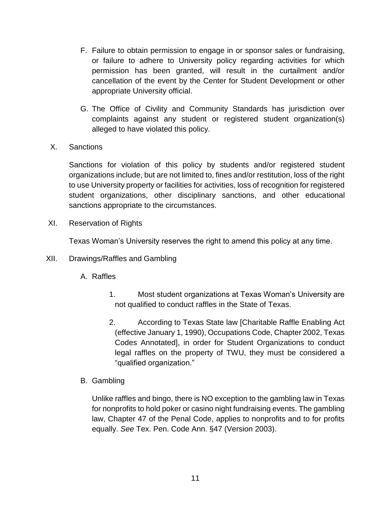- F. Failure to obtain permission to engage in or sponsor sales or fundraising, or failure to adhere to University policy regarding activities for which permission has been granted, will result in the curtailment and/or cancellation of the event by the Center for Student Development or other appropriate University official.
- G. The Office of Civility and Community Standards has jurisdiction over complaints against any student or registered student organization(s) alleged to have violated this policy.
- X. Sanctions

Sanctions for violation of this policy by students and/or registered student organizations include, but are not limited to, fines and/or restitution, loss of the right to use University property or facilities for activities, loss of recognition for registered student organizations, other disciplinary sanctions, and other educational sanctions appropriate to the circumstances.

XI. Reservation of Rights

Texas Woman's University reserves the right to amend this policy at any time.

- XII. Drawings/Raffles and Gambling
	- A. Raffles
		- 1. Most student organizations at Texas Woman's University are not qualified to conduct raffles in the State of Texas.
		- 2. According to Texas State law [Charitable Raffle Enabling Act (effective January 1, 1990), Occupations Code, Chapter 2002, Texas Codes Annotated], in order for Student Organizations to conduct legal raffles on the property of TWU, they must be considered a "qualified organization."
	- B. Gambling

Unlike raffles and bingo, there is NO exception to the gambling law in Texas for nonprofits to hold poker or casino night fundraising events. The gambling law, Chapter 47 of the Penal Code, applies to nonprofits and to for profits equally. *See* Tex. Pen. Code Ann. §47 (Version 2003).